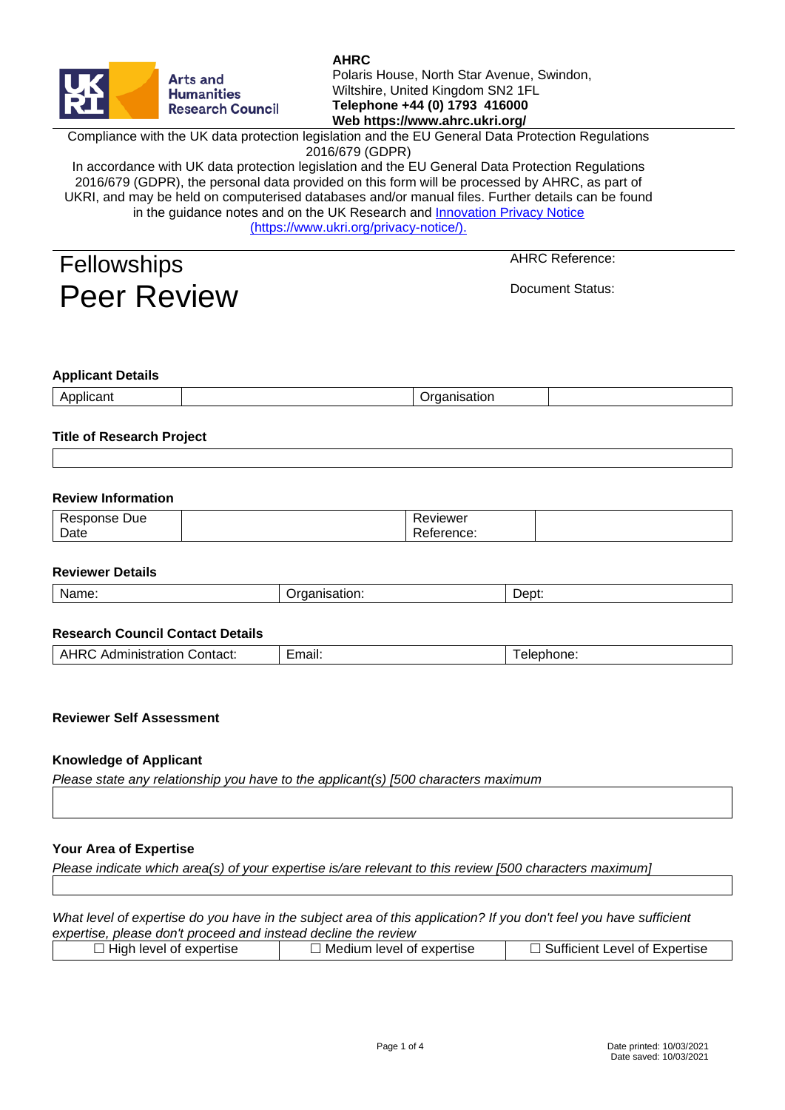

# **AHRC**

Polaris House, North Star Avenue, Swindon, Wiltshire, United Kingdom SN2 1FL **Telephone +44 (0) 1793 416000 Web https://www.ahrc.ukri.org/**

Compliance with the UK data protection legislation and the EU General Data Protection Regulations 2016/679 (GDPR)

In accordance with UK data protection legislation and the EU General Data Protection Regulations 2016/679 (GDPR), the personal data provided on this form will be processed by AHRC, as part of UKRI, and may be held on computerised databases and/or manual files. Further details can be found in the guidance notes and on the UK Research and [Innovation Privacy Notice](http://www.ukri.org/privacy-notice/))  [\(https://www.ukri.org/privacy-notice/\).](http://www.ukri.org/privacy-notice/))

| <b>Fellowships</b> |                    |
|--------------------|--------------------|
|                    | <b>Peer Review</b> |

AHRC Reference:

Document Status:

### **Applicant Details**

| ___ |  |  |
|-----|--|--|
|     |  |  |
|     |  |  |

### **Title of Research Project**

#### **Review Information**

| Due<br>- 00 -<br>$-$ | $\sqrt{2}$<br>.ewer<br>$\mathbf{v}$ |  |
|----------------------|-------------------------------------|--|
| Date                 | -<br>™∺ncc.                         |  |

#### **Reviewer Details**

|  | Name. | .<br>.<br>וחמו<br>.<br>.<br>-- |  |
|--|-------|--------------------------------|--|
|--|-------|--------------------------------|--|

#### **Research Council Contact Details**

| .moil:<br>Contact:<br>ninistration<br>Αr<br>Aur<br>нан. | $\sim$ $\sim$ $\sim$<br>שווכי. |  |
|---------------------------------------------------------|--------------------------------|--|
|---------------------------------------------------------|--------------------------------|--|

### **Reviewer Self Assessment**

#### **Knowledge of Applicant**

*Please state any relationship you have to the applicant(s) [500 characters maximum*

#### **Your Area of Expertise**

*Please indicate which area(s) of your expertise is/are relevant to this review [500 characters maximum]*

*What level of expertise do you have in the subject area of this application? If you don't feel you have sufficient expertise, please don't proceed and instead decline the review*

| $\Box$ High level of expertise | l Medium level of expertise | Sufficient Level of Expertise |
|--------------------------------|-----------------------------|-------------------------------|
|                                |                             |                               |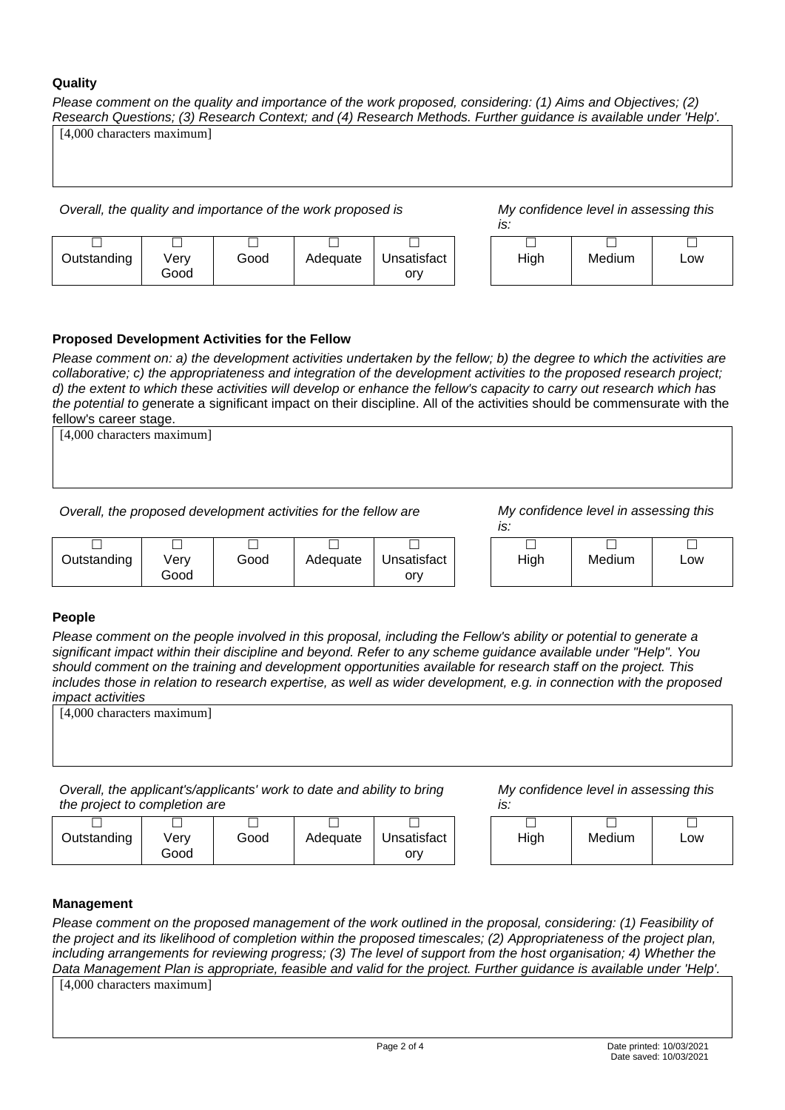### **Quality**

*Please comment on the quality and importance of the work proposed, considering: (1) Aims and Objectives; (2) Research Questions; (3) Research Context; and (4) Research Methods. Further guidance is available under 'Help'.*

*Overall, the quality and importance of the work proposed is My confidence level in assessing this* 

*is:*

| Outstanding | Verv | Good | Adequate | Unsatisfact |
|-------------|------|------|----------|-------------|
|             | Good |      |          | orv         |

| J.   |        |     |
|------|--------|-----|
|      |        |     |
| High | Medium | Low |
|      |        |     |

# **Proposed Development Activities for the Fellow**

*Please comment on: a) the development activities undertaken by the fellow; b) the degree to which the activities are collaborative; c) the appropriateness and integration of the development activities to the proposed research project; d) the extent to which these activities will develop or enhance the fellow's capacity to carry out research which has the potential to g*enerate a significant impact on their discipline. All of the activities should be commensurate with the fellow's career stage.

[4,000 characters maximum]

[4,000 characters maximum]

*Overall, the proposed development activities for the fellow are My confidence level in assessing this* 

*is:*

|                         | $\overline{\phantom{a}}$ |      |          |                    |      |        | _   |
|-------------------------|--------------------------|------|----------|--------------------|------|--------|-----|
| $\cdots$<br>Outstanding | √erv<br>Good             | Good | Adequate | Unsatisfact<br>orv | High | Medium | Low |

### **People**

*Please comment on the people involved in this proposal, including the Fellow's ability or potential to generate a significant impact within their discipline and beyond. Refer to any scheme guidance available under "Help". You should comment on the training and development opportunities available for research staff on the project. This includes those in relation to research expertise, as well as wider development, e.g. in connection with the proposed impact activities*

| [4,000 characters maximum]                                             |                                       |
|------------------------------------------------------------------------|---------------------------------------|
|                                                                        |                                       |
|                                                                        |                                       |
|                                                                        |                                       |
| Overall, the applicant's/applicants' work to date and ability to bring | My confidence level in assessing this |

*the project to completion are*

| .           |      |      |          |             |
|-------------|------|------|----------|-------------|
|             |      |      |          |             |
| Outstanding | Verv | Good | Adequate | Unsatisfact |
|             | Good |      |          | orv         |

*My confidence level in assessing this is:*

| .ט   |        |     |
|------|--------|-----|
| High | Medium | Low |

### **Management**

*Please comment on the proposed management of the work outlined in the proposal, considering: (1) Feasibility of the project and its likelihood of completion within the proposed timescales; (2) Appropriateness of the project plan, including arrangements for reviewing progress; (3) The level of support from the host organisation; 4) Whether the Data Management Plan is appropriate, feasible and valid for the project. Further guidance is available under 'Help'.*

[4,000 characters maximum]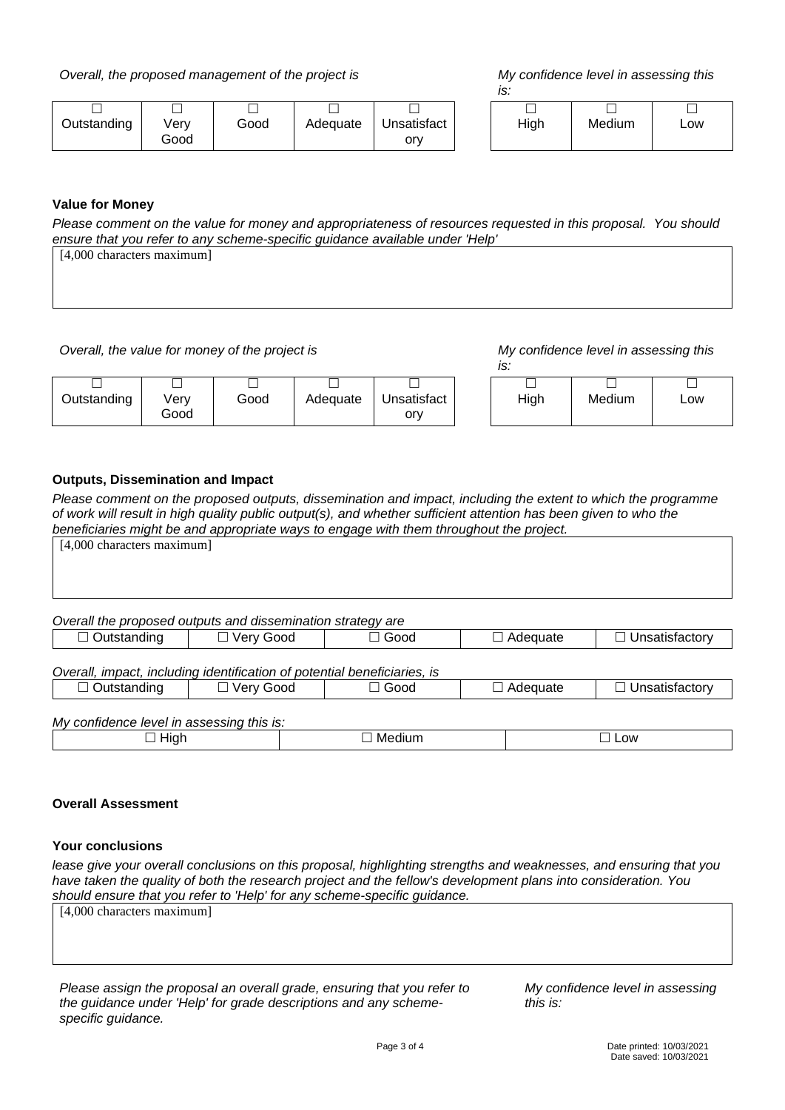*Overall, the proposed management of the project is My confidence level in assessing this* 

*is:*

|             |      |      |          |             | .    |  |
|-------------|------|------|----------|-------------|------|--|
|             |      |      |          |             |      |  |
| Outstanding | Verv | Good | Adequate | Unsatisfact | High |  |
|             | Good |      |          | orv         |      |  |

| ıh | Medium | Low |
|----|--------|-----|
|    |        |     |

# **Value for Money**

*Please comment on the value for money and appropriateness of resources requested in this proposal. You should ensure that you refer to any scheme-specific guidance available under 'Help'*

| ensure mat you relet to any scriente-specific guidance available under Treip |  |
|------------------------------------------------------------------------------|--|
| [4,000 characters maximum]                                                   |  |
|                                                                              |  |
|                                                                              |  |
|                                                                              |  |

*Overall, the value for money of the project is My confidence level in assessing this* 

*is:*

|                         |              |      |          |                    | ---    |        |     |
|-------------------------|--------------|------|----------|--------------------|--------|--------|-----|
|                         |              |      |          |                    | –<br>─ |        |     |
| $\cdots$<br>Outstanding | √erv<br>Good | Good | Adequate | Unsatisfact<br>orv | High   | Medium | LOW |

### **Outputs, Dissemination and Impact**

*Please comment on the proposed outputs, dissemination and impact, including the extent to which the programme of work will result in high quality public output(s), and whether sufficient attention has been given to who the beneficiaries might be and appropriate ways to engage with them throughout the project.*

| [4,000 characters maximum]                                               |             |             |                 |                       |  |  |  |  |
|--------------------------------------------------------------------------|-------------|-------------|-----------------|-----------------------|--|--|--|--|
|                                                                          |             |             |                 |                       |  |  |  |  |
|                                                                          |             |             |                 |                       |  |  |  |  |
|                                                                          |             |             |                 |                       |  |  |  |  |
| Overall the proposed outputs and dissemination strategy are              |             |             |                 |                       |  |  |  |  |
| $\Box$ Outstanding                                                       | □ Very Good | $\Box$ Good | $\Box$ Adequate | $\Box$ Unsatisfactory |  |  |  |  |
|                                                                          |             |             |                 |                       |  |  |  |  |
| Overall, impact, including identification of potential beneficiaries, is |             |             |                 |                       |  |  |  |  |
| Outstanding<br>$\Box$                                                    | □ Very Good | $\Box$ Good | $\Box$ Adequate | $\Box$ Unsatisfactory |  |  |  |  |
|                                                                          |             |             |                 |                       |  |  |  |  |
| My confidence level in assessing this is:                                |             |             |                 |                       |  |  |  |  |

| <b>THE BUTTING TO LOT OF THE GOOD COMPLY THIS TO.</b> |    |     |  |  |  |  |  |  |  |
|-------------------------------------------------------|----|-----|--|--|--|--|--|--|--|
|                                                       | NЛ | .ow |  |  |  |  |  |  |  |
|                                                       |    |     |  |  |  |  |  |  |  |

# **Overall Assessment**

### **Your conclusions**

lease give your overall conclusions on this proposal, highlighting strengths and weaknesses, and ensuring that you *have taken the quality of both the research project and the fellow's development plans into consideration. You should ensure that you refer to 'Help' for any scheme-specific guidance.*

[4,000 characters maximum]

*Please assign the proposal an overall grade, ensuring that you refer to the guidance under 'Help' for grade descriptions and any schemespecific guidance.*

*My confidence level in assessing this is:*